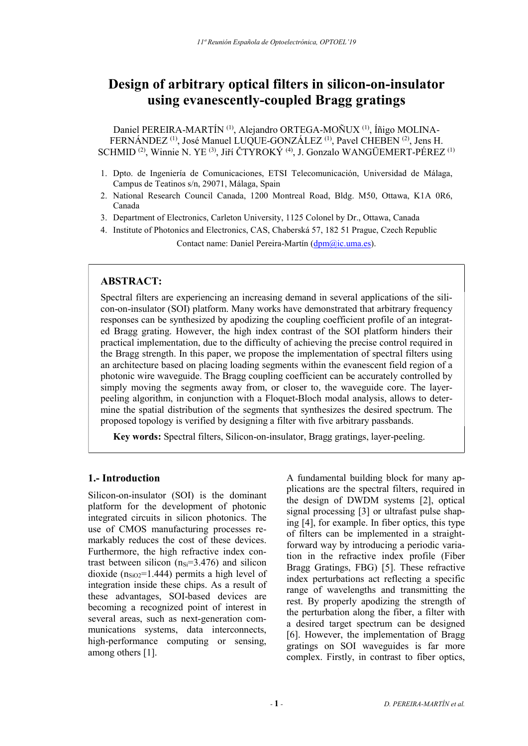# Design of arbitrary optical filters in silicon-on-insulator using evanescently-coupled Bragg gratings

Daniel PEREIRA-MARTÍN (1), Alejandro ORTEGA-MOÑUX (1), Íñigo MOLINA-FERNÁNDEZ (1), José Manuel LUQUE-GONZÁLEZ (1), Pavel CHEBEN (2), Jens H. SCHMID (2), Winnie N. YE (3), Jiří ČTYROKÝ (4), J. Gonzalo WANGÜEMERT-PÉREZ (1)

- 1. Dpto. de Ingeniería de Comunicaciones, ETSI Telecomunicación, Universidad de Málaga, Campus de Teatinos s/n, 29071, Málaga, Spain
- 2. National Research Council Canada, 1200 Montreal Road, Bldg. M50, Ottawa, K1A 0R6, Canada
- 3. Department of Electronics, Carleton University, 1125 Colonel by Dr., Ottawa, Canada
- 4. Institute of Photonics and Electronics, CAS, Chaberská 57, 182 51 Prague, Czech Republic Contact name: Daniel Pereira-Martín (dpm@ic.uma.es).

# ABSTRACT:

Spectral filters are experiencing an increasing demand in several applications of the silicon-on-insulator (SOI) platform. Many works have demonstrated that arbitrary frequency responses can be synthesized by apodizing the coupling coefficient profile of an integrated Bragg grating. However, the high index contrast of the SOI platform hinders their practical implementation, due to the difficulty of achieving the precise control required in the Bragg strength. In this paper, we propose the implementation of spectral filters using an architecture based on placing loading segments within the evanescent field region of a photonic wire waveguide. The Bragg coupling coefficient can be accurately controlled by simply moving the segments away from, or closer to, the waveguide core. The layerpeeling algorithm, in conjunction with a Floquet-Bloch modal analysis, allows to determine the spatial distribution of the segments that synthesizes the desired spectrum. The proposed topology is verified by designing a filter with five arbitrary passbands.

Key words: Spectral filters, Silicon-on-insulator, Bragg gratings, layer-peeling.

# 1.- Introduction

Silicon-on-insulator (SOI) is the dominant platform for the development of photonic integrated circuits in silicon photonics. The use of CMOS manufacturing processes remarkably reduces the cost of these devices. Furthermore, the high refractive index contrast between silicon  $(n<sub>Si</sub>=3.476)$  and silicon dioxide ( $n_{SiO2}$ =1.444) permits a high level of integration inside these chips. As a result of these advantages, SOI-based devices are becoming a recognized point of interest in several areas, such as next-generation communications systems, data interconnects, high-performance computing or sensing, among others [1].

A fundamental building block for many applications are the spectral filters, required in the design of DWDM systems [2], optical signal processing [3] or ultrafast pulse shaping [4], for example. In fiber optics, this type of filters can be implemented in a straightforward way by introducing a periodic variation in the refractive index profile (Fiber Bragg Gratings, FBG) [5]. These refractive index perturbations act reflecting a specific range of wavelengths and transmitting the rest. By properly apodizing the strength of the perturbation along the fiber, a filter with a desired target spectrum can be designed [6]. However, the implementation of Bragg gratings on SOI waveguides is far more complex. Firstly, in contrast to fiber optics,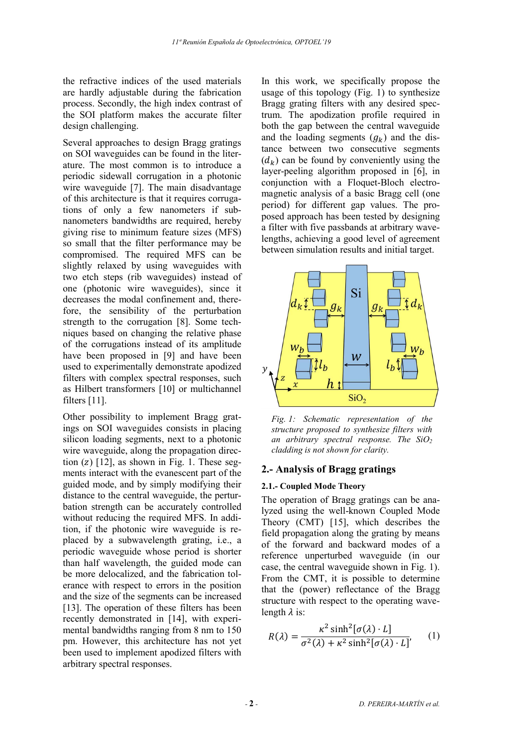the refractive indices of the used materials are hardly adjustable during the fabrication process. Secondly, the high index contrast of the SOI platform makes the accurate filter design challenging.

Several approaches to design Bragg gratings on SOI waveguides can be found in the literature. The most common is to introduce a periodic sidewall corrugation in a photonic wire waveguide [7]. The main disadvantage of this architecture is that it requires corrugations of only a few nanometers if subnanometers bandwidths are required, hereby giving rise to minimum feature sizes (MFS) so small that the filter performance may be compromised. The required MFS can be slightly relaxed by using waveguides with two etch steps (rib waveguides) instead of one (photonic wire waveguides), since it decreases the modal confinement and, therefore, the sensibility of the perturbation strength to the corrugation [8]. Some techniques based on changing the relative phase of the corrugations instead of its amplitude have been proposed in [9] and have been used to experimentally demonstrate apodized filters with complex spectral responses, such as Hilbert transformers [10] or multichannel filters [11].

Other possibility to implement Bragg gratings on SOI waveguides consists in placing silicon loading segments, next to a photonic wire waveguide, along the propagation direction  $(z)$  [12], as shown in Fig. 1. These segments interact with the evanescent part of the guided mode, and by simply modifying their distance to the central waveguide, the perturbation strength can be accurately controlled without reducing the required MFS. In addition, if the photonic wire waveguide is replaced by a subwavelength grating, i.e., a periodic waveguide whose period is shorter than half wavelength, the guided mode can be more delocalized, and the fabrication tolerance with respect to errors in the position and the size of the segments can be increased [13]. The operation of these filters has been recently demonstrated in [14], with experimental bandwidths ranging from 8 nm to 150 pm. However, this architecture has not yet been used to implement apodized filters with arbitrary spectral responses.

In this work, we specifically propose the usage of this topology (Fig. 1) to synthesize Bragg grating filters with any desired spectrum. The apodization profile required in both the gap between the central waveguide and the loading segments  $(g_k)$  and the distance between two consecutive segments  $(d_k)$  can be found by conveniently using the layer-peeling algorithm proposed in [6], in conjunction with a Floquet-Bloch electromagnetic analysis of a basic Bragg cell (one period) for different gap values. The proposed approach has been tested by designing a filter with five passbands at arbitrary wavelengths, achieving a good level of agreement between simulation results and initial target.



Fig. 1: Schematic representation of the structure proposed to synthesize filters with an arbitrary spectral response. The  $SiO<sub>2</sub>$ cladding is not shown for clarity.

## 2.- Analysis of Bragg gratings

#### 2.1.- Coupled Mode Theory

The operation of Bragg gratings can be analyzed using the well-known Coupled Mode Theory (CMT) [15], which describes the field propagation along the grating by means of the forward and backward modes of a reference unperturbed waveguide (in our case, the central waveguide shown in Fig. 1). From the CMT, it is possible to determine that the (power) reflectance of the Bragg structure with respect to the operating wavelength  $\lambda$  is:

$$
R(\lambda) = \frac{\kappa^2 \sinh^2[\sigma(\lambda) \cdot L]}{\sigma^2(\lambda) + \kappa^2 \sinh^2[\sigma(\lambda) \cdot L]},
$$
 (1)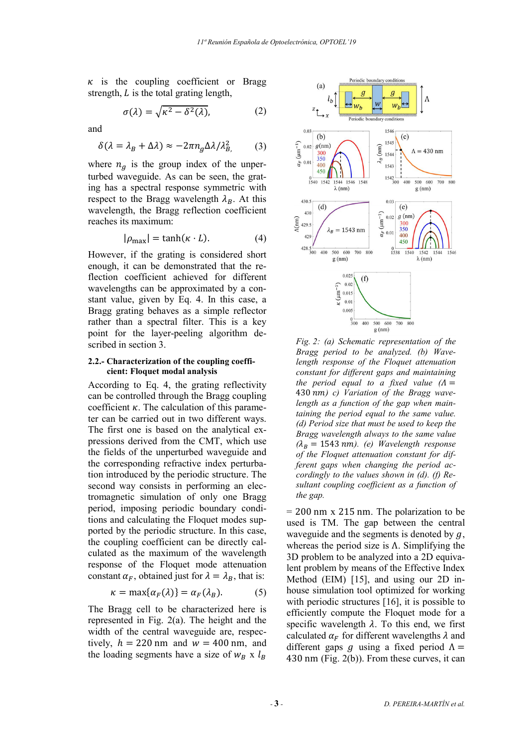$\kappa$  is the coupling coefficient or Bragg strength,  $L$  is the total grating length,

$$
\sigma(\lambda) = \sqrt{\kappa^2 - \delta^2(\lambda)},\tag{2}
$$

and

$$
\delta(\lambda = \lambda_B + \Delta \lambda) \approx -2\pi n_g \Delta \lambda / \lambda_B^2
$$
 (3)

where  $n_q$  is the group index of the unperturbed waveguide. As can be seen, the grating has a spectral response symmetric with respect to the Bragg wavelength  $\lambda_R$ . At this wavelength, the Bragg reflection coefficient reaches its maximum:

$$
|\rho_{\text{max}}| = \tanh(\kappa \cdot L). \tag{4}
$$

However, if the grating is considered short enough, it can be demonstrated that the reflection coefficient achieved for different wavelengths can be approximated by a constant value, given by Eq. 4. In this case, a Bragg grating behaves as a simple reflector rather than a spectral filter. This is a key point for the layer-peeling algorithm described in section 3.

#### 2.2.- Characterization of the coupling coefficient: Floquet modal analysis

According to Eq. 4, the grating reflectivity can be controlled through the Bragg coupling coefficient  $\kappa$ . The calculation of this parameter can be carried out in two different ways. The first one is based on the analytical expressions derived from the CMT, which use the fields of the unperturbed waveguide and the corresponding refractive index perturbation introduced by the periodic structure. The second way consists in performing an electromagnetic simulation of only one Bragg period, imposing periodic boundary conditions and calculating the Floquet modes supported by the periodic structure. In this case, the coupling coefficient can be directly calculated as the maximum of the wavelength response of the Floquet mode attenuation constant  $\alpha_F$ , obtained just for  $\lambda = \lambda_B$ , that is:

$$
\kappa = \max\{\alpha_F(\lambda)\} = \alpha_F(\lambda_B). \tag{5}
$$

The Bragg cell to be characterized here is represented in Fig. 2(a). The height and the width of the central waveguide are, respectively,  $h = 220$  nm and  $w = 400$  nm, and the loading segments have a size of  $w_R$  x  $l_R$ 



Fig. 2: (a) Schematic representation of the Bragg period to be analyzed. (b) Wavelength response of the Floquet attenuation constant for different gaps and maintaining the period equal to a fixed value  $(A =$ 430  $nm$ ) c) Variation of the Bragg wavelength as a function of the gap when maintaining the period equal to the same value. (d) Period size that must be used to keep the Bragg wavelength always to the same value  $(\lambda_B = 1543 \text{ nm})$ . (e) Wavelength response of the Floquet attenuation constant for different gaps when changing the period accordingly to the values shown in (d). (f) Resultant coupling coefficient as a function of the gap.

= 200 nm x 215 nm. The polarization to be used is TM. The gap between the central waveguide and the segments is denoted by  $q$ , whereas the period size is  $\Lambda$ . Simplifying the 3D problem to be analyzed into a 2D equivalent problem by means of the Effective Index Method (EIM) [15], and using our 2D inhouse simulation tool optimized for working with periodic structures [16], it is possible to efficiently compute the Floquet mode for a specific wavelength  $\lambda$ . To this end, we first calculated  $\alpha_F$  for different wavelengths  $\lambda$  and different gaps q using a fixed period  $\Lambda =$ 430 nm (Fig. 2(b)). From these curves, it can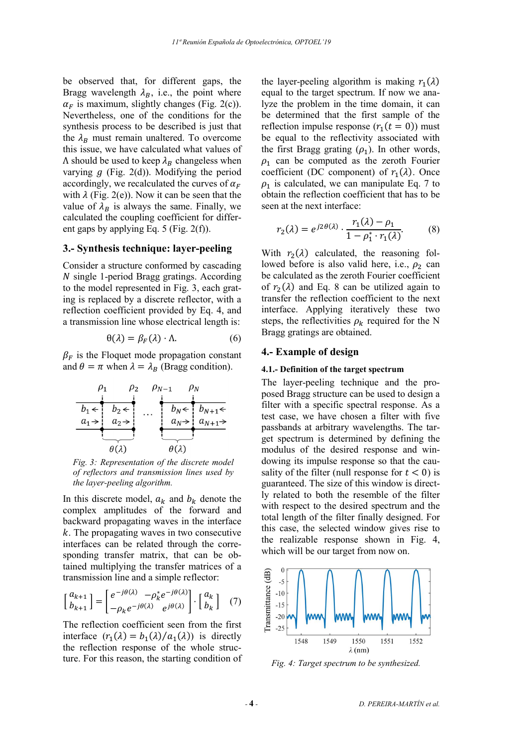be observed that, for different gaps, the Bragg wavelength  $\lambda_R$ , i.e., the point where  $\alpha_F$  is maximum, slightly changes (Fig. 2(c)). Nevertheless, one of the conditions for the synthesis process to be described is just that the  $\lambda_B$  must remain unaltered. To overcome this issue, we have calculated what values of  $Λ$  should be used to keep  $λ_B$  changeless when varying  $g$  (Fig. 2(d)). Modifying the period accordingly, we recalculated the curves of  $\alpha_F$ with  $\lambda$  (Fig. 2(e)). Now it can be seen that the value of  $\lambda_B$  is always the same. Finally, we calculated the coupling coefficient for different gaps by applying Eq. 5 (Fig. 2(f)).

## 3.- Synthesis technique: layer-peeling

Consider a structure conformed by cascading  $N$  single 1-period Bragg gratings. According to the model represented in Fig. 3, each grating is replaced by a discrete reflector, with a reflection coefficient provided by Eq. 4, and a transmission line whose electrical length is:

$$
\theta(\lambda) = \beta_F(\lambda) \cdot \Lambda. \tag{6}
$$

 $\beta_F$  is the Floquet mode propagation constant and  $\theta = \pi$  when  $\lambda = \lambda_B$  (Bragg condition).



Fig. 3: Representation of the discrete model of reflectors and transmission lines used by the layer-peeling algorithm.

In this discrete model,  $a_k$  and  $b_k$  denote the complex amplitudes of the forward and backward propagating waves in the interface  $k$ . The propagating waves in two consecutive interfaces can be related through the corresponding transfer matrix, that can be obtained multiplying the transfer matrices of a transmission line and a simple reflector:

$$
\begin{bmatrix} a_{k+1} \\ b_{k+1} \end{bmatrix} = \begin{bmatrix} e^{-j\theta(\lambda)} & -\rho_k^* e^{-j\theta(\lambda)} \\ -\rho_k e^{-j\theta(\lambda)} & e^{j\theta(\lambda)} \end{bmatrix} \cdot \begin{bmatrix} a_k \\ b_k \end{bmatrix} \quad (7)
$$

The reflection coefficient seen from the first interface  $(r_1(\lambda) = b_1(\lambda)/a_1(\lambda))$  is directly the reflection response of the whole structure. For this reason, the starting condition of

the layer-peeling algorithm is making  $r_1(\lambda)$ equal to the target spectrum. If now we analyze the problem in the time domain, it can be determined that the first sample of the reflection impulse response  $(r_1(t = 0))$  must be equal to the reflectivity associated with the first Bragg grating  $(\rho_1)$ . In other words,  $\rho_1$  can be computed as the zeroth Fourier coefficient (DC component) of  $r_1(\lambda)$ . Once  $\rho_1$  is calculated, we can manipulate Eq. 7 to obtain the reflection coefficient that has to be seen at the next interface:

$$
r_2(\lambda) = e^{j2\theta(\lambda)} \cdot \frac{r_1(\lambda) - \rho_1}{1 - \rho_1^* \cdot r_1(\lambda)}.
$$
 (8)

With  $r_2(\lambda)$  calculated, the reasoning followed before is also valid here, i.e.,  $\rho_2$  can be calculated as the zeroth Fourier coefficient of  $r_2(\lambda)$  and Eq. 8 can be utilized again to transfer the reflection coefficient to the next interface. Applying iteratively these two steps, the reflectivities  $\rho_k$  required for the N Bragg gratings are obtained.

## 4.- Example of design

#### 4.1.- Definition of the target spectrum

The layer-peeling technique and the proposed Bragg structure can be used to design a filter with a specific spectral response. As a test case, we have chosen a filter with five passbands at arbitrary wavelengths. The target spectrum is determined by defining the modulus of the desired response and windowing its impulse response so that the causality of the filter (null response for  $t < 0$ ) is guaranteed. The size of this window is directly related to both the resemble of the filter with respect to the desired spectrum and the total length of the filter finally designed. For this case, the selected window gives rise to the realizable response shown in Fig. 4, which will be our target from now on.



Fig. 4: Target spectrum to be synthesized.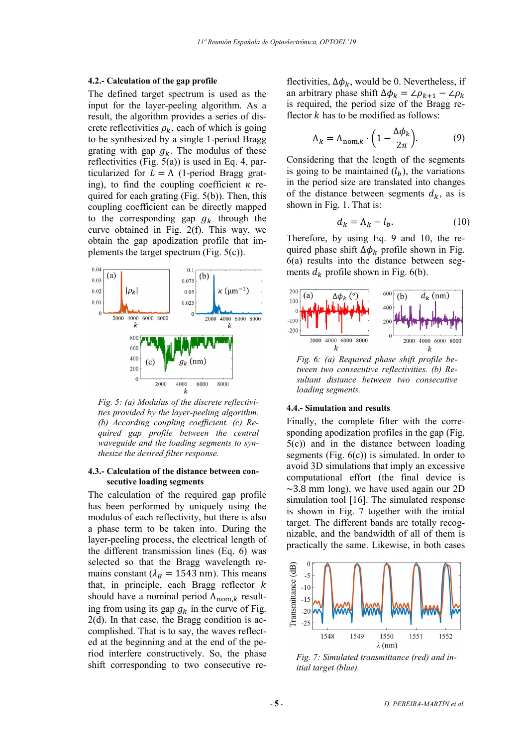#### 4.2.- Calculation of the gap profile

The defined target spectrum is used as the input for the layer-peeling algorithm. As a result, the algorithm provides a series of discrete reflectivities  $\rho_k$ , each of which is going to be synthesized by a single 1-period Bragg grating with gap  $q_k$ . The modulus of these reflectivities (Fig. 5(a)) is used in Eq. 4, particularized for  $L = \Lambda$  (1-period Bragg grating), to find the coupling coefficient  $\kappa$  required for each grating  $(Fig. 5(b))$ . Then, this coupling coefficient can be directly mapped to the corresponding gap  $g_k$  through the curve obtained in Fig. 2(f). This way, we obtain the gap apodization profile that implements the target spectrum (Fig. 5(c)).



Fig. 5: (a) Modulus of the discrete reflectivities provided by the layer-peeling algorithm. (b) According coupling coefficient. (c) Required gap profile between the central waveguide and the loading segments to synthesize the desired filter response.

## 4.3.- Calculation of the distance between consecutive loading segments

The calculation of the required gap profile has been performed by uniquely using the modulus of each reflectivity, but there is also a phase term to be taken into. During the layer-peeling process, the electrical length of the different transmission lines (Eq. 6) was selected so that the Bragg wavelength remains constant ( $\lambda_B = 1543$  nm). This means that, in principle, each Bragg reflector  $k$ should have a nominal period  $\Lambda_{\text{nom},k}$  resulting from using its gap  $g_k$  in the curve of Fig. 2(d). In that case, the Bragg condition is accomplished. That is to say, the waves reflected at the beginning and at the end of the period interfere constructively. So, the phase shift corresponding to two consecutive reflectivities,  $\Delta \phi_k$ , would be 0. Nevertheless, if an arbitrary phase shift  $\Delta \phi_k = \angle \rho_{k+1} - \angle \rho_k$ is required, the period size of the Bragg reflector  $k$  has to be modified as follows:

$$
\Lambda_k = \Lambda_{\text{nom},k} \cdot \left(1 - \frac{\Delta \phi_k}{2\pi}\right). \tag{9}
$$

Considering that the length of the segments is going to be maintained  $(l_h)$ , the variations in the period size are translated into changes of the distance between segments  $d_k$ , as is shown in Fig. 1. That is:

$$
d_k = \Lambda_k - l_b. \tag{10}
$$

Therefore, by using Eq. 9 and 10, the required phase shift  $\Delta \phi_k$  profile shown in Fig. 6(a) results into the distance between segments  $d_k$  profile shown in Fig. 6(b).



sultant distance between two consecutive loading segments.

#### 4.4.- Simulation and results

Finally, the complete filter with the corresponding apodization profiles in the gap (Fig. 5(c)) and in the distance between loading segments (Fig.  $6(c)$ ) is simulated. In order to avoid 3D simulations that imply an excessive computational effort (the final device is  $\sim$ 3.8 mm long), we have used again our 2D simulation tool [16]. The simulated response is shown in Fig. 7 together with the initial target. The different bands are totally recognizable, and the bandwidth of all of them is practically the same. Likewise, in both cases



Fig. 7: Simulated transmittance (red) and initial target (blue).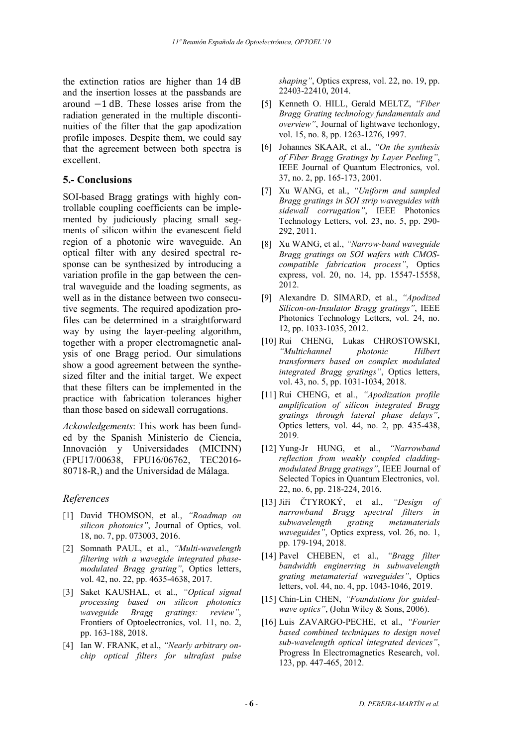the extinction ratios are higher than 14 dB and the insertion losses at the passbands are around −1 dB. These losses arise from the radiation generated in the multiple discontinuities of the filter that the gap apodization profile imposes. Despite them, we could say that the agreement between both spectra is excellent.

# 5.- Conclusions

SOI-based Bragg gratings with highly controllable coupling coefficients can be implemented by judiciously placing small segments of silicon within the evanescent field region of a photonic wire waveguide. An optical filter with any desired spectral response can be synthesized by introducing a variation profile in the gap between the central waveguide and the loading segments, as well as in the distance between two consecutive segments. The required apodization profiles can be determined in a straightforward way by using the layer-peeling algorithm, together with a proper electromagnetic analysis of one Bragg period. Our simulations show a good agreement between the synthesized filter and the initial target. We expect that these filters can be implemented in the practice with fabrication tolerances higher than those based on sidewall corrugations.

Ackowledgements: This work has been funded by the Spanish Ministerio de Ciencia, Innovación y Universidades (MICINN) (FPU17/00638, FPU16/06762, TEC2016- 80718-R,) and the Universidad de Málaga.

## References

- [1] David THOMSON, et al., "Roadmap on silicon photonics", Journal of Optics, vol. 18, no. 7, pp. 073003, 2016.
- [2] Somnath PAUL, et al., "Multi-wavelength filtering with a wavegide integrated phasemodulated Bragg grating", Optics letters, vol. 42, no. 22, pp. 4635-4638, 2017.
- [3] Saket KAUSHAL, et al., "Optical signal processing based on silicon photonics waveguide Bragg gratings: review", Frontiers of Optoelectronics, vol. 11, no. 2, pp. 163-188, 2018.
- [4] Ian W. FRANK, et al., "Nearly arbitrary onchip optical filters for ultrafast pulse

shaping", Optics express, vol. 22, no. 19, pp. 22403-22410, 2014.

- [5] Kenneth O. HILL, Gerald MELTZ, "Fiber Bragg Grating technology fundamentals and overview", Journal of lightwave techonlogy, vol. 15, no. 8, pp. 1263-1276, 1997.
- [6] Johannes SKAAR, et al., "On the synthesis of Fiber Bragg Gratings by Layer Peeling", IEEE Journal of Quantum Electronics, vol. 37, no. 2, pp. 165-173, 2001.
- [7] Xu WANG, et al., "Uniform and sampled Bragg gratings in SOI strip waveguides with sidewall corrugation", IEEE Photonics Technology Letters, vol. 23, no. 5, pp. 290- 292, 2011.
- [8] Xu WANG, et al., "Narrow-band waveguide Bragg gratings on SOI wafers with CMOScompatible fabrication process", Optics express, vol. 20, no. 14, pp. 15547-15558, 2012.
- [9] Alexandre D. SIMARD, et al., "Apodized Silicon-on-Insulator Bragg gratings", IEEE Photonics Technology Letters, vol. 24, no. 12, pp. 1033-1035, 2012.
- [10] Rui CHENG, Lukas CHROSTOWSKI, "Multichannel photonic Hilbert transformers based on complex modulated integrated Bragg gratings", Optics letters, vol. 43, no. 5, pp. 1031-1034, 2018.
- [11] Rui CHENG, et al., "Apodization profile amplification of silicon integrated Bragg gratings through lateral phase delays", Optics letters, vol. 44, no. 2, pp. 435-438, 2019.
- [12] Yung-Jr HUNG, et al., "Narrowband reflection from weakly coupled claddingmodulated Bragg gratings", IEEE Journal of Selected Topics in Quantum Electronics, vol. 22, no. 6, pp. 218-224, 2016.
- [13] Jiří ČTYROKÝ, et al., "Design of narrowband Bragg spectral filters in subwavelength grating metamaterials waveguides", Optics express, vol. 26, no. 1, pp. 179-194, 2018.
- [14] Pavel CHEBEN, et al., "Bragg filter bandwidth enginerring in subwavelength grating metamaterial waveguides", Optics letters, vol. 44, no. 4, pp. 1043-1046, 2019.
- [15] Chin-Lin CHEN, "Foundations for guidedwave optics", (John Wiley & Sons, 2006).
- [16] Luis ZAVARGO-PECHE, et al., "Fourier based combined techniques to design novel sub-wavelength optical integrated devices", Progress In Electromagnetics Research, vol. 123, pp. 447-465, 2012.